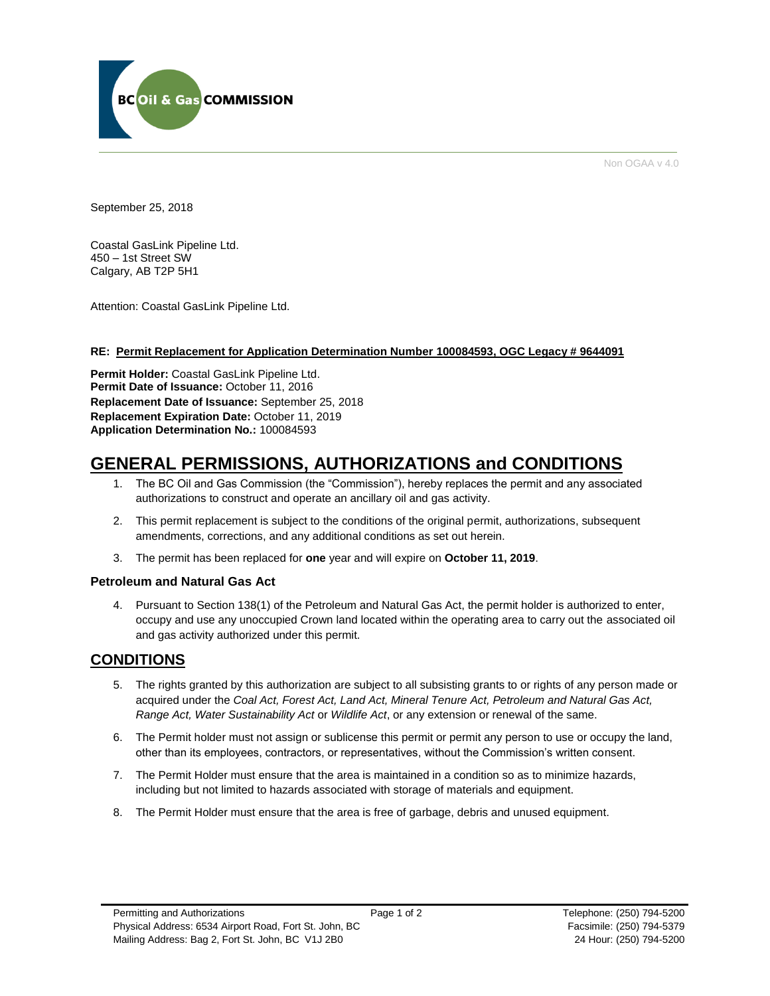

Non OGAA v 4.0

September 25, 2018

Coastal GasLink Pipeline Ltd. 450 – 1st Street SW Calgary, AB T2P 5H1

Attention: Coastal GasLink Pipeline Ltd.

#### **RE: Permit Replacement for Application Determination Number 100084593, OGC Legacy # 9644091**

**Permit Holder:** Coastal GasLink Pipeline Ltd. Permit Date of Issuance: October 11, 2016 **Replacement Date of Issuance:** September 25, 2018 **Replacement Expiration Date:** October 11, 2019 **Application Determination No.:** 100084593

# **GENERAL PERMISSIONS, AUTHORIZATIONS and CONDITIONS**

- 1. The BC Oil and Gas Commission (the "Commission"), hereby replaces the permit and any associated authorizations to construct and operate an ancillary oil and gas activity.
- 2. This permit replacement is subject to the conditions of the original permit, authorizations, subsequent amendments, corrections, and any additional conditions as set out herein.
- 3. The permit has been replaced for **one** year and will expire on **October 11, 2019**.

### **Petroleum and Natural Gas Act**

4. Pursuant to Section 138(1) of the Petroleum and Natural Gas Act, the permit holder is authorized to enter, occupy and use any unoccupied Crown land located within the operating area to carry out the associated oil and gas activity authorized under this permit.

## **CONDITIONS**

- 5. The rights granted by this authorization are subject to all subsisting grants to or rights of any person made or acquired under the *Coal Act, Forest Act, Land Act, Mineral Tenure Act, Petroleum and Natural Gas Act, Range Act, Water Sustainability Act* or *Wildlife Act*, or any extension or renewal of the same.
- 6. The Permit holder must not assign or sublicense this permit or permit any person to use or occupy the land, other than its employees, contractors, or representatives, without the Commission's written consent.
- 7. The Permit Holder must ensure that the area is maintained in a condition so as to minimize hazards, including but not limited to hazards associated with storage of materials and equipment.
- 8. The Permit Holder must ensure that the area is free of garbage, debris and unused equipment.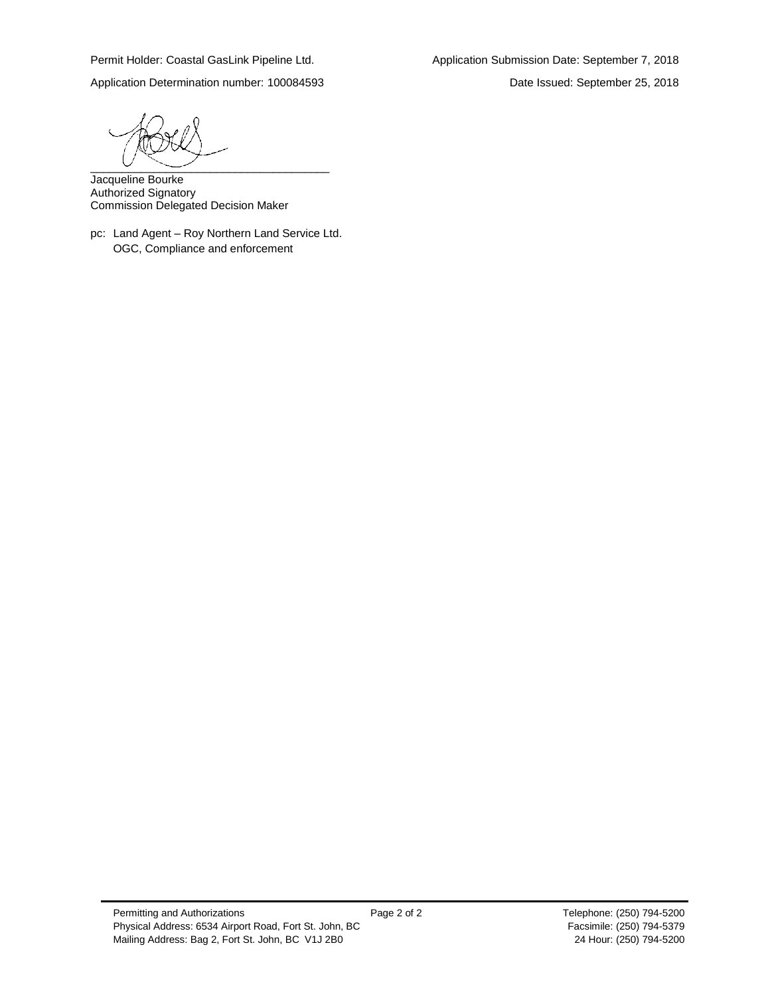Application Determination number: 100084593 Date Issued: September 25, 2018

 $\begin{array}{c} \begin{array}{c} \begin{array}{c} \begin{array}{c} \end{array} \\ \begin{array}{c} \end{array} \end{array} \end{array}$ 

Jacqueline Bourke Authorized Signatory Commission Delegated Decision Maker

pc: Land Agent – Roy Northern Land Service Ltd. OGC, Compliance and enforcement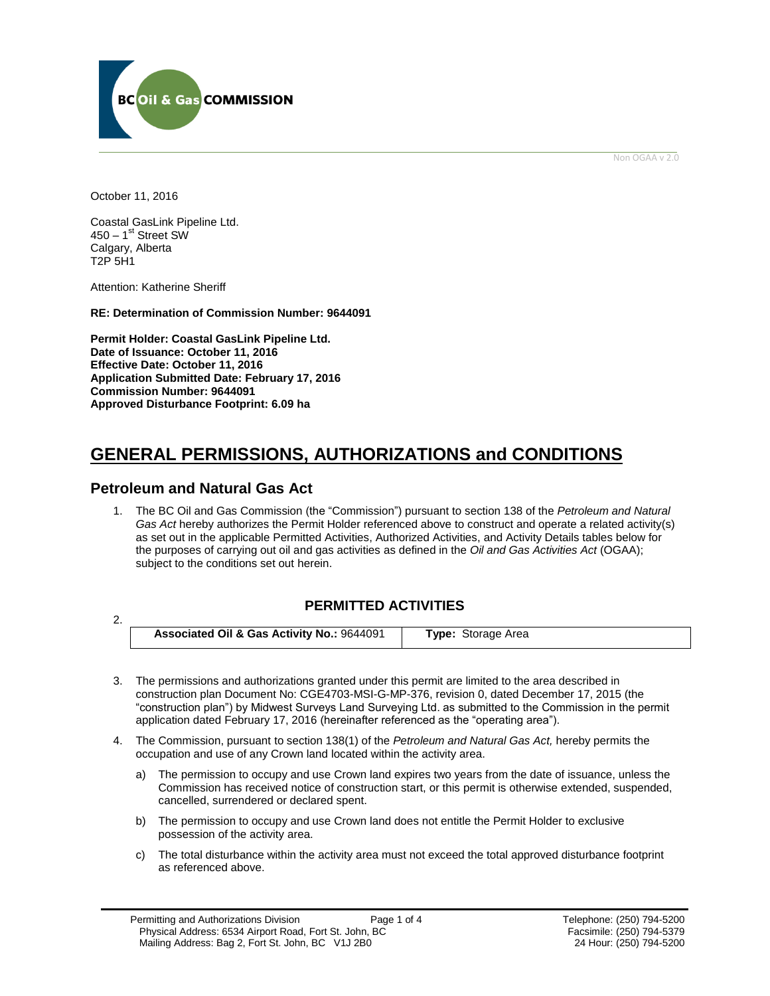

Non OGAA v 2.0

October 11, 2016

Coastal GasLink Pipeline Ltd. 450 – 1<sup>st</sup> Street SW Calgary, Alberta T2P 5H1

Attention: Katherine Sheriff

**RE: Determination of Commission Number: 9644091**

**Permit Holder: Coastal GasLink Pipeline Ltd. Date of Issuance: October 11, 2016 Effective Date: October 11, 2016 Application Submitted Date: February 17, 2016 Commission Number: 9644091 Approved Disturbance Footprint: 6.09 ha**

# **GENERAL PERMISSIONS, AUTHORIZATIONS and CONDITIONS**

## **Petroleum and Natural Gas Act**

1. The BC Oil and Gas Commission (the "Commission") pursuant to section 138 of the *Petroleum and Natural Gas Act* hereby authorizes the Permit Holder referenced above to construct and operate a related activity(s) as set out in the applicable Permitted Activities, Authorized Activities, and Activity Details tables below for the purposes of carrying out oil and gas activities as defined in the *Oil and Gas Activities Act* (OGAA); subject to the conditions set out herein.

## **PERMITTED ACTIVITIES**

2.

**Associated Oil & Gas Activity No.:** 9644091 **Type:** Storage Area

- 3. The permissions and authorizations granted under this permit are limited to the area described in construction plan Document No: CGE4703-MSI-G-MP-376, revision 0, dated December 17, 2015 (the "construction plan") by Midwest Surveys Land Surveying Ltd. as submitted to the Commission in the permit application dated February 17, 2016 (hereinafter referenced as the "operating area").
- 4. The Commission, pursuant to section 138(1) of the *Petroleum and Natural Gas Act,* hereby permits the occupation and use of any Crown land located within the activity area.
	- a) The permission to occupy and use Crown land expires two years from the date of issuance, unless the Commission has received notice of construction start, or this permit is otherwise extended, suspended, cancelled, surrendered or declared spent.
	- b) The permission to occupy and use Crown land does not entitle the Permit Holder to exclusive possession of the activity area.
	- c) The total disturbance within the activity area must not exceed the total approved disturbance footprint as referenced above.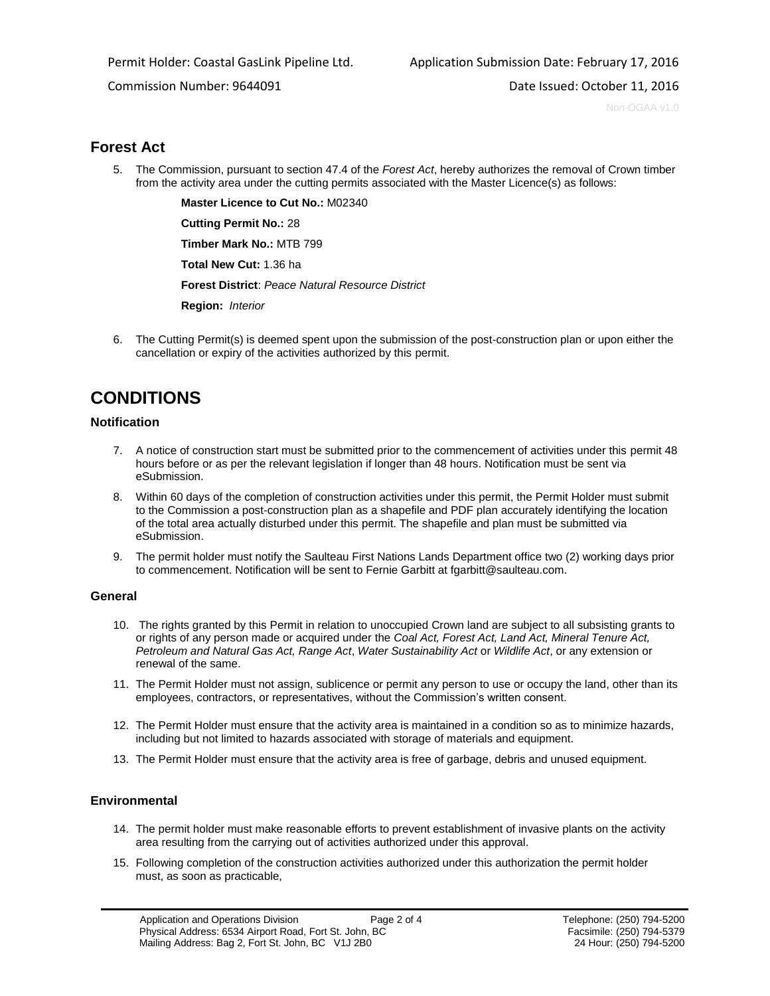Commission Number: 9644091 **Date Issued: October 11, 2016** Date Issued: October 11, 2016

Non-OGAA v1.0

## **Forest Act**

5. The Commission, pursuant to section 47.4 of the *Forest Act*, hereby authorizes the removal of Crown timber from the activity area under the cutting permits associated with the Master Licence(s) as follows:

<span id="page-3-0"></span>**[Master Licence to Cut No.:](https://ams-sso.bcogc.ca/cas/login?service=https%3A%2F%2Fams-epm.bcogc.ca%2Fepermit%2Fpostlogin.jsf%3Bjsessionid%3D19E1A7843F5DE299B3864FCA25C67838)** M02340

**[Cutting Permit No.:](https://ams-crd.bcogc.ca/crd/#/dashboard)** 28

**[Timber Mark No.:](https://ams-crd.bcogc.ca/crd/)** MTB 799

**[Total New Cut:](#page-3-0)** 1.36 ha

**[Forest District](https://ams-crd.bcogc.ca/crd/)**: *Peace Natural Resource District*

**[Region:](#page-3-1)** *Interior* 

<span id="page-3-1"></span>6. The Cutting Permit(s) is deemed spent upon the submission of the post-construction plan or upon either the cancellation or expiry of the activities authorized by this permit.

# **CONDITIONS**

### **Notification**

- 7. A notice of construction start must be submitted prior to the commencement of activities under this permit 48 hours before or as per the relevant legislation if longer than 48 hours. Notification must be sent via eSubmission.
- 8. Within 60 days of the completion of construction activities under this permit, the Permit Holder must submit to the Commission a post-construction plan as a shapefile and PDF plan accurately identifying the location of the total area actually disturbed under this permit. The shapefile and plan must be submitted via eSubmission.
- 9. The permit holder must notify the Saulteau First Nations Lands Department office two (2) working days prior to commencement. Notification will be sent to Fernie Garbitt at fgarbitt@saulteau.com.

### **General**

- 10. The rights granted by this Permit in relation to unoccupied Crown land are subject to all subsisting grants to or rights of any person made or acquired under the *Coal Act, Forest Act, Land Act, Mineral Tenure Act, Petroleum and Natural Gas Act, Range Act*, *Water Sustainability Act* or *Wildlife Act*, or any extension or renewal of the same.
- 11. The Permit Holder must not assign, sublicence or permit any person to use or occupy the land, other than its employees, contractors, or representatives, without the Commission's written consent.
- 12. The Permit Holder must ensure that the activity area is maintained in a condition so as to minimize hazards, including but not limited to hazards associated with storage of materials and equipment.
- 13. The Permit Holder must ensure that the activity area is free of garbage, debris and unused equipment.

## **Environmental**

- 14. The permit holder must make reasonable efforts to prevent establishment of invasive plants on the activity area resulting from the carrying out of activities authorized under this approval.
- 15. Following completion of the construction activities authorized under this authorization the permit holder must, as soon as practicable,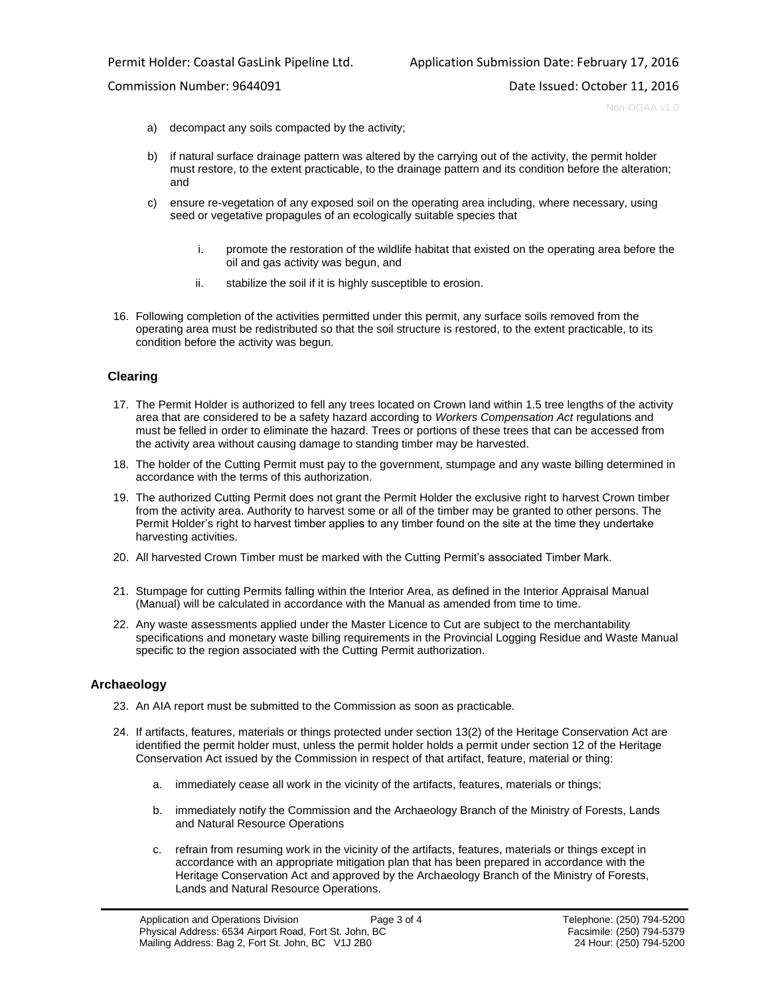Non-OGAA v1.0

- a) decompact any soils compacted by the activity;
- b) if natural surface drainage pattern was altered by the carrying out of the activity, the permit holder must restore, to the extent practicable, to the drainage pattern and its condition before the alteration; and
- c) ensure re-vegetation of any exposed soil on the operating area including, where necessary, using seed or vegetative propagules of an ecologically suitable species that
	- i. promote the restoration of the wildlife habitat that existed on the operating area before the oil and gas activity was begun, and
	- ii. stabilize the soil if it is highly susceptible to erosion.
- 16. Following completion of the activities permitted under this permit, any surface soils removed from the operating area must be redistributed so that the soil structure is restored, to the extent practicable, to its condition before the activity was begun.

### **Clearing**

- 17. The Permit Holder is authorized to fell any trees located on Crown land within 1.5 tree lengths of the activity area that are considered to be a safety hazard according to *Workers Compensation Act* regulations and must be felled in order to eliminate the hazard. Trees or portions of these trees that can be accessed from the activity area without causing damage to standing timber may be harvested.
- 18. The holder of the Cutting Permit must pay to the government, stumpage and any waste billing determined in accordance with the terms of this authorization.
- 19. The authorized Cutting Permit does not grant the Permit Holder the exclusive right to harvest Crown timber from the activity area. Authority to harvest some or all of the timber may be granted to other persons. The Permit Holder's right to harvest timber applies to any timber found on the site at the time they undertake harvesting activities.
- 20. All harvested Crown Timber must be marked with the Cutting Permit's associated Timber Mark.
- 21. Stumpage for cutting Permits falling within the Interior Area, as defined in the Interior Appraisal Manual (Manual) will be calculated in accordance with the Manual as amended from time to time.
- 22. Any waste assessments applied under the Master Licence to Cut are subject to the merchantability specifications and monetary waste billing requirements in the Provincial Logging Residue and Waste Manual specific to the region associated with the Cutting Permit authorization.

### **Archaeology**

- 23. An AIA report must be submitted to the Commission as soon as practicable.
- 24. If artifacts, features, materials or things protected under section 13(2) of the Heritage Conservation Act are identified the permit holder must, unless the permit holder holds a permit under section 12 of the Heritage Conservation Act issued by the Commission in respect of that artifact, feature, material or thing:
	- a. immediately cease all work in the vicinity of the artifacts, features, materials or things;
	- b. immediately notify the Commission and the Archaeology Branch of the Ministry of Forests, Lands and Natural Resource Operations
	- c. refrain from resuming work in the vicinity of the artifacts, features, materials or things except in accordance with an appropriate mitigation plan that has been prepared in accordance with the Heritage Conservation Act and approved by the Archaeology Branch of the Ministry of Forests, Lands and Natural Resource Operations.